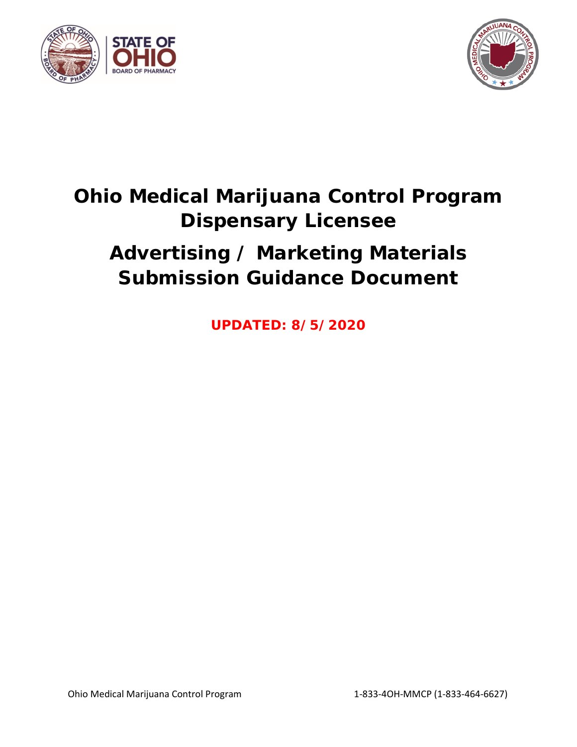



# **Ohio Medical Marijuana Control Program Dispensary Licensee Advertising / Marketing Materials Submission Guidance Document**

**UPDATED: 8/5/2020**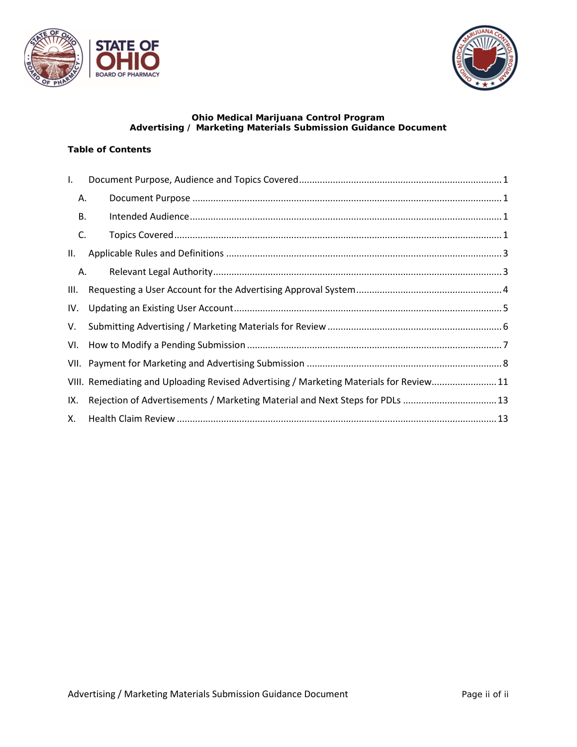



#### **Ohio Medical Marijuana Control Program Advertising / Marketing Materials Submission Guidance Document**

#### **Table of Contents**

| I.        |                                                                                        |
|-----------|----------------------------------------------------------------------------------------|
| Α.        |                                                                                        |
| <b>B.</b> |                                                                                        |
| C.        |                                                                                        |
| II.       |                                                                                        |
| Α.        |                                                                                        |
| III.      |                                                                                        |
| IV.       |                                                                                        |
| V.        |                                                                                        |
| VI.       |                                                                                        |
|           |                                                                                        |
|           | VIII. Remediating and Uploading Revised Advertising / Marketing Materials for Review11 |
| IX.       | Rejection of Advertisements / Marketing Material and Next Steps for PDLs  13           |
| Х.        |                                                                                        |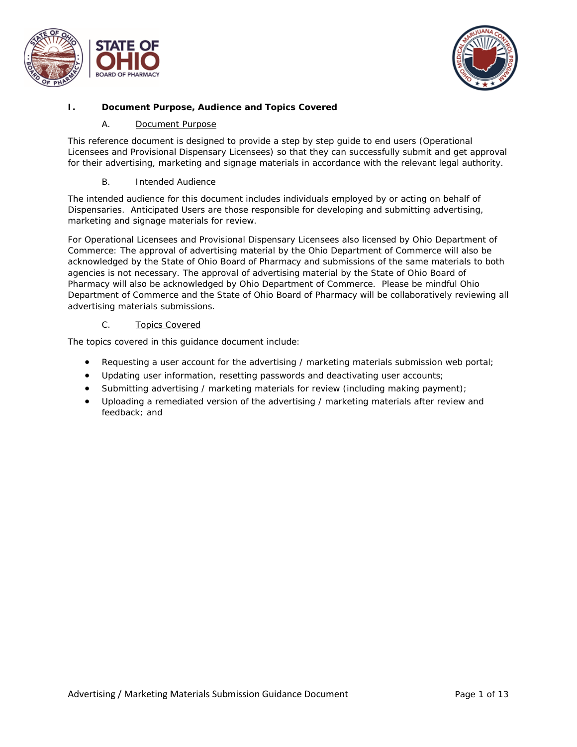



#### <span id="page-2-1"></span><span id="page-2-0"></span>**I. Document Purpose, Audience and Topics Covered**

#### A. Document Purpose

This reference document is designed to provide a step by step guide to end users (Operational Licensees and Provisional Dispensary Licensees) so that they can successfully submit and get approval for their advertising, marketing and signage materials in accordance with the relevant legal authority.

#### B. Intended Audience

<span id="page-2-2"></span>The intended audience for this document includes individuals employed by or acting on behalf of Dispensaries. Anticipated Users are those responsible for developing and submitting advertising, marketing and signage materials for review.

For Operational Licensees and Provisional Dispensary Licensees also licensed by Ohio Department of Commerce: The approval of advertising material by the Ohio Department of Commerce will also be acknowledged by the State of Ohio Board of Pharmacy and submissions of the same materials to both agencies is not necessary. The approval of advertising material by the State of Ohio Board of Pharmacy will also be acknowledged by Ohio Department of Commerce. Please be mindful Ohio Department of Commerce and the State of Ohio Board of Pharmacy will be collaboratively reviewing all advertising materials submissions.

#### C. Topics Covered

<span id="page-2-3"></span>The topics covered in this guidance document include:

- Requesting a user account for the advertising / marketing materials submission web portal;
- Updating user information, resetting passwords and deactivating user accounts;
- Submitting advertising / marketing materials for review (including making payment);
- Uploading a remediated version of the advertising / marketing materials after review and feedback; and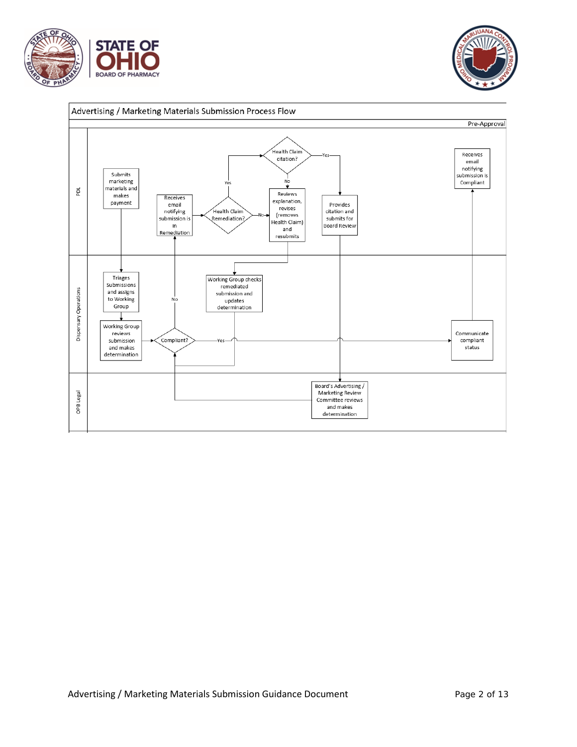



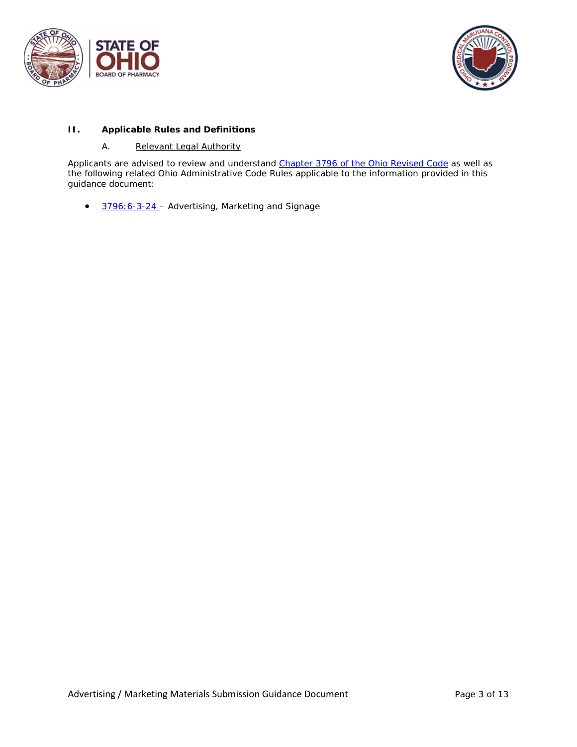



#### <span id="page-4-0"></span>**II. Applicable Rules and Definitions**

#### A. Relevant Legal Authority

<span id="page-4-1"></span>Applicants are advised to review and understand [Chapter 3796 of the Ohio Revised Code](http://codes.ohio.gov/orc/3796) as well as the following related Ohio Administrative Code Rules applicable to the information provided in this guidance document:

• [3796:6-3-24](http://codes.ohio.gov/oac/3796:6-3-24) - Advertising, Marketing and Signage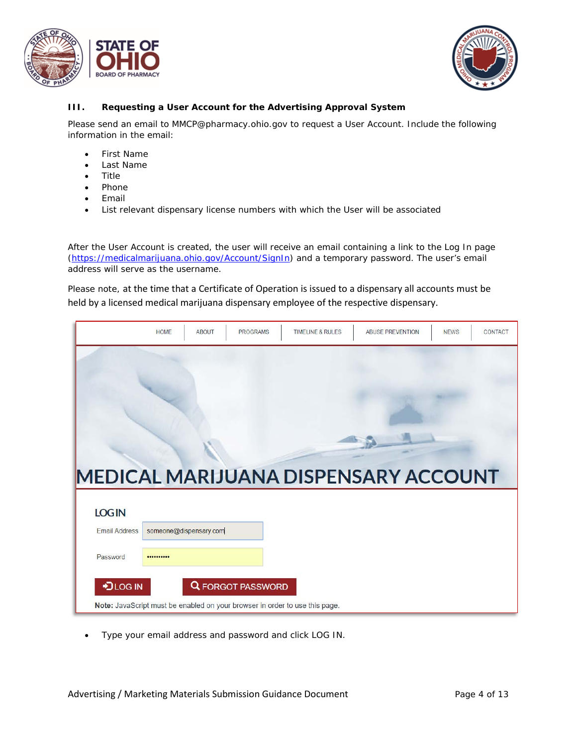



#### <span id="page-5-0"></span>**III. Requesting a User Account for the Advertising Approval System**

Please send an email to MMCP@pharmacy.ohio.gov to request a User Account. Include the following information in the email:

- First Name
- Last Name
- Title
- Phone
- Email
- List relevant dispensary license numbers with which the User will be associated

After the User Account is created, the user will receive an email containing a link to the Log In page [\(https://medicalmarijuana.ohio.gov/Account/SignIn\)](https://medicalmarijuana.ohio.gov/Account/SignIn) and a temporary password. The user's email address will serve as the username.

Please note, at the time that a Certificate of Operation is issued to a dispensary all accounts must be held by a licensed medical marijuana dispensary employee of the respective dispensary.

|                      | <b>HOME</b> | <b>ABOUT</b>           | <b>PROGRAMS</b>          | <b>TIMELINE &amp; RULES</b>                                                 | <b>ABUSE PREVENTION</b>                     | <b>NEWS</b> | <b>CONTACT</b> |
|----------------------|-------------|------------------------|--------------------------|-----------------------------------------------------------------------------|---------------------------------------------|-------------|----------------|
|                      |             |                        |                          |                                                                             |                                             |             |                |
|                      |             |                        |                          |                                                                             |                                             |             |                |
|                      |             |                        |                          |                                                                             |                                             |             |                |
|                      |             |                        |                          |                                                                             |                                             |             |                |
|                      |             |                        |                          |                                                                             |                                             |             |                |
|                      |             |                        |                          |                                                                             |                                             |             |                |
|                      |             |                        |                          |                                                                             | <b>MEDICAL MARIJUANA DISPENSARY ACCOUNT</b> |             |                |
| <b>LOGIN</b>         |             |                        |                          |                                                                             |                                             |             |                |
| <b>Email Address</b> |             | someone@dispensary.com |                          |                                                                             |                                             |             |                |
| Password             |             |                        |                          |                                                                             |                                             |             |                |
| DLOG IN              |             |                        | <b>Q</b> FORGOT PASSWORD |                                                                             |                                             |             |                |
|                      |             |                        |                          | Note: JavaScript must be enabled on your browser in order to use this page. |                                             |             |                |

• Type your email address and password and click LOG IN.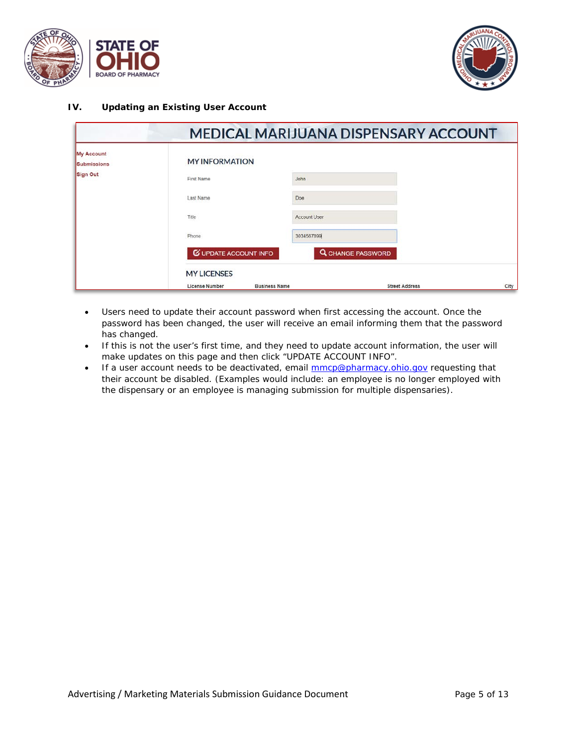



#### <span id="page-6-0"></span>**IV. Updating an Existing User Account**

|                                         |                              | <b>MEDICAL MARIJUANA DISPENSARY ACCOUNT</b>   |      |
|-----------------------------------------|------------------------------|-----------------------------------------------|------|
| <b>My Account</b><br><b>Submissions</b> | <b>MY INFORMATION</b>        |                                               |      |
| Sign Out                                | First Name                   | John                                          |      |
|                                         | Last Name                    | Doe                                           |      |
|                                         | Title                        | <b>Account User</b>                           |      |
|                                         | Phone                        | 3034567899                                    |      |
|                                         | <b>C</b> UPDATE ACCOUNT INFO | Q CHANGE PASSWORD                             |      |
|                                         | <b>MY LICENSES</b>           |                                               |      |
|                                         | License Number               | <b>Business Name</b><br><b>Street Address</b> | City |

- Users need to update their account password when first accessing the account. Once the password has been changed, the user will receive an email informing them that the password has changed.
- If this is not the user's first time, and they need to update account information, the user will make updates on this page and then click "UPDATE ACCOUNT INFO".
- If a user account needs to be deactivated, email **mmcp@pharmacy.ohio.gov** requesting that their account be disabled. (Examples would include: an employee is no longer employed with the dispensary or an employee is managing submission for multiple dispensaries).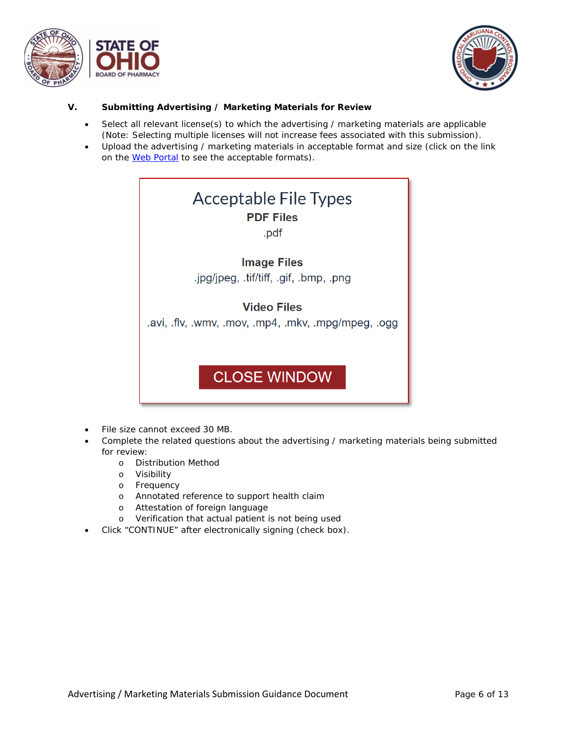



#### <span id="page-7-0"></span>**V. Submitting Advertising / Marketing Materials for Review**

- Select all relevant license(s) to which the advertising / marketing materials are applicable (*Note: Selecting multiple licenses will not increase fees associated with this submission*).
- Upload the advertising / marketing materials in acceptable format and size (click on the link on the [Web Portal](https://medicalmarijuana.ohio.gov/Account/Submissions) to see the acceptable formats).



- File size cannot exceed 30 MB.
- Complete the related questions about the advertising / marketing materials being submitted for review:
	- o Distribution Method
	- o Visibility
	- o Frequency
	- o Annotated reference to support health claim
	- o Attestation of foreign language
	- o Verification that actual patient is not being used
- Click "CONTINUE" after electronically signing (check box).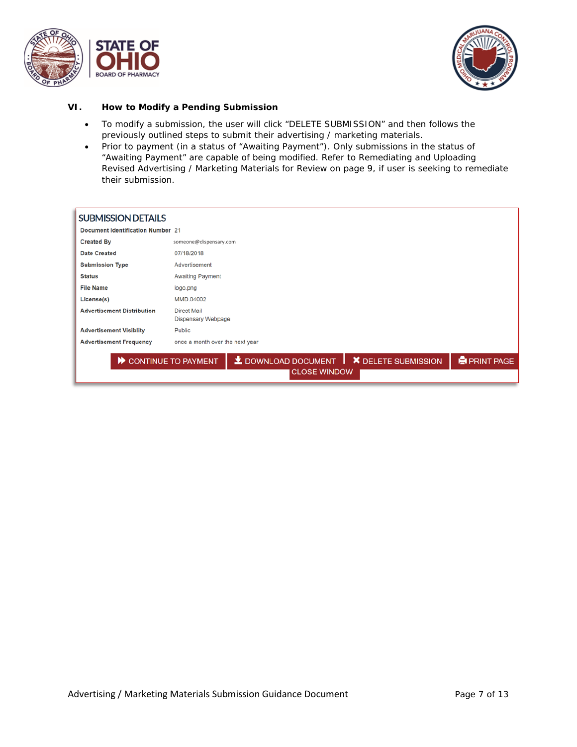



#### <span id="page-8-0"></span>**VI. How to Modify a Pending Submission**

- To modify a submission, the user will click "DELETE SUBMISSION" and then follows the previously outlined steps to submit their advertising / marketing materials.
- Prior to payment (in a status of "Awaiting Payment"). Only submissions in the status of "Awaiting Payment" are capable of being modified. Refer to Remediating and Uploading Revised Advertising / Marketing Materials for Review on page 9, if user is seeking to remediate their submission.

| <b>SUBMISSION DETAILS</b>                |                                                                                                                                |
|------------------------------------------|--------------------------------------------------------------------------------------------------------------------------------|
| <b>Document Identification Number 21</b> |                                                                                                                                |
| <b>Created By</b>                        | someone@dispensary.com                                                                                                         |
| <b>Date Created</b>                      | 07/18/2018                                                                                                                     |
| <b>Submission Type</b>                   | Advertisement                                                                                                                  |
| <b>Status</b>                            | <b>Awaiting Payment</b>                                                                                                        |
| <b>File Name</b>                         | logo.png                                                                                                                       |
| License(s)                               | MMD.04002                                                                                                                      |
| <b>Advertisement Distribution</b>        | <b>Direct Mail</b><br>Dispensary Webpage                                                                                       |
| <b>Advertisement Visiblity</b>           | Public                                                                                                                         |
| <b>Advertisement Frequency</b>           | once a month over the next year                                                                                                |
|                                          | CONTINUE TO PAYMENT<br><b>L</b> DOWNLOAD DOCUMENT<br><b>X</b> DELETE SUBMISSION<br><b>PE PRINT PAGE</b><br><b>CLOSE WINDOW</b> |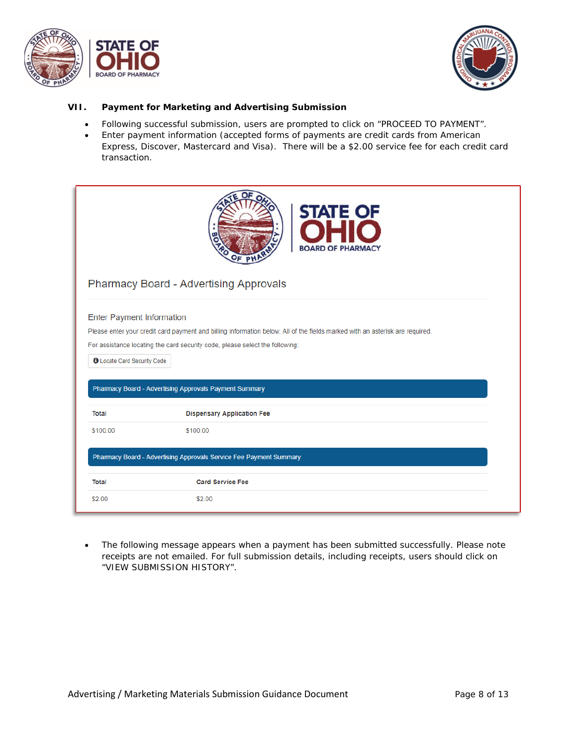



#### <span id="page-9-0"></span>**VII. Payment for Marketing and Advertising Submission**

- Following successful submission, users are prompted to click on "PROCEED TO PAYMENT".
- Enter payment information (accepted forms of payments are credit cards from American Express, Discover, Mastercard and Visa). There will be a \$2.00 service fee for each credit card transaction.

|                                                                        | <b>STATE OF</b><br><b>BOARD OF PHARMACY</b>                                                                                                                                                                  |
|------------------------------------------------------------------------|--------------------------------------------------------------------------------------------------------------------------------------------------------------------------------------------------------------|
|                                                                        | <b>Pharmacy Board - Advertising Approvals</b>                                                                                                                                                                |
| <b>Enter Payment Information</b><br><b>O</b> Locate Card Security Code | Please enter your credit card payment and billing information below. All of the fields marked with an asterisk are required.<br>For assistance locating the card security code, please select the following: |
|                                                                        | Pharmacy Board - Advertising Approvals Payment Summary                                                                                                                                                       |
| <b>Total</b>                                                           | <b>Dispensary Application Fee</b>                                                                                                                                                                            |
| \$100.00                                                               | \$100.00                                                                                                                                                                                                     |
|                                                                        | Pharmacy Board - Advertising Approvals Service Fee Payment Summary                                                                                                                                           |
| Total                                                                  | <b>Card Service Fee</b>                                                                                                                                                                                      |
| \$2.00                                                                 | \$2.00                                                                                                                                                                                                       |

• The following message appears when a payment has been submitted successfully. Please note receipts are not emailed. For full submission details, including receipts, users should click on "VIEW SUBMISSION HISTORY".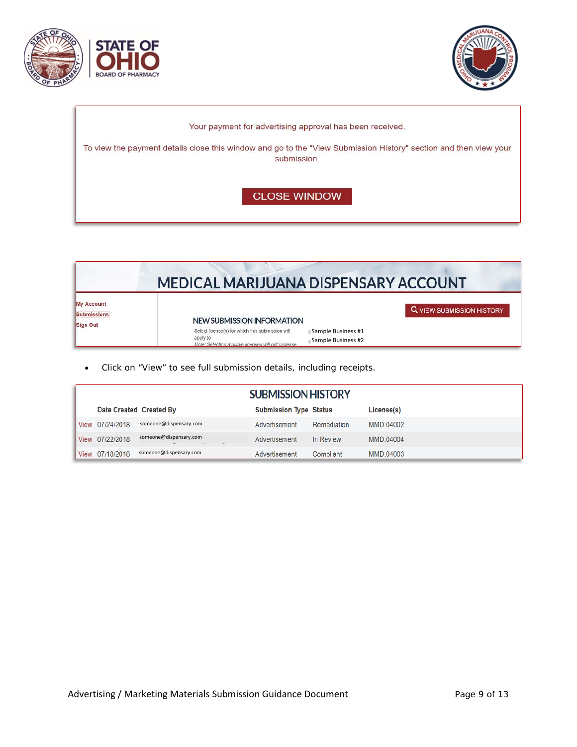



#### Your payment for advertising approval has been received.

To view the payment details close this window and go to the "View Submission History" section and then view your submission.

**CLOSE WINDOW** 

## MEDICAL MARIJUANA DISPENSARY ACCOUNT

My Account **Submissions** Sign Out

NEW SUBMISSION INFORMATION Sample Business #1 Select license(s) for which this submission will

apply to Sample Business #2 Vote

Q VIEW SUBMISSION HISTORY

### • Click on "View" to see full submission details, including receipts.

|                         |                        | <b>SUBMISSION HISTORY</b>     |             |            |
|-------------------------|------------------------|-------------------------------|-------------|------------|
| Date Created Created By |                        | <b>Submission Type Status</b> |             | License(s) |
| View 07/24/2018         | someone@dispensary.com | Advertisement                 | Remediation | MMD.04002  |
| View 07/22/2018         | someone@dispensary.com | Advertisement                 | In Review   | MMD.04004  |
| View 07/18/2018         | someone@dispensary.com | Advertisement                 | Compliant   | MMD.04003  |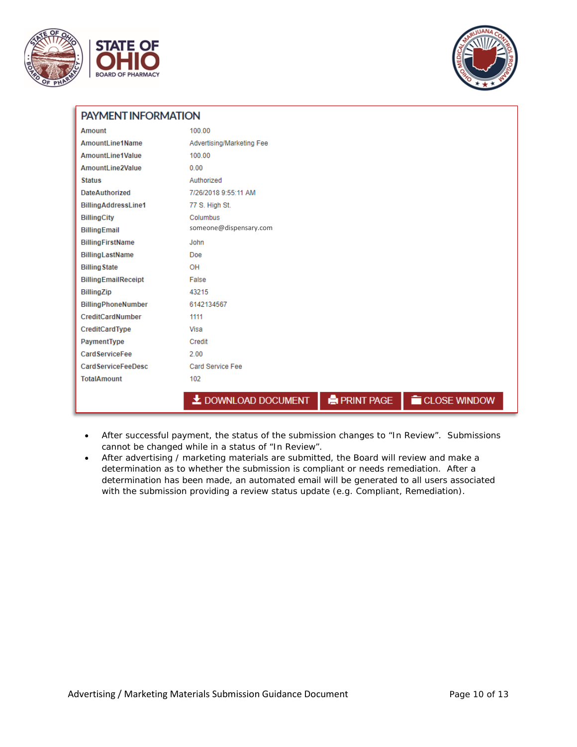



| <b>PAYMENT INFORMATION</b> |                           |                   |              |
|----------------------------|---------------------------|-------------------|--------------|
| Amount                     | 100.00                    |                   |              |
| <b>AmountLine1Name</b>     | Advertising/Marketing Fee |                   |              |
| <b>AmountLine1Value</b>    | 100.00                    |                   |              |
| AmountLine2Value           | 0.00                      |                   |              |
| <b>Status</b>              | Authorized                |                   |              |
| <b>DateAuthorized</b>      | 7/26/2018 9:55:11 AM      |                   |              |
| <b>BillingAddressLine1</b> | 77 S. High St.            |                   |              |
| <b>BillingCity</b>         | Columbus                  |                   |              |
| <b>BillingEmail</b>        | someone@dispensary.com    |                   |              |
| <b>BillingFirstName</b>    | John                      |                   |              |
| <b>BillingLastName</b>     | Doe                       |                   |              |
| <b>Billing State</b>       | OH                        |                   |              |
| <b>BillingEmailReceipt</b> | False                     |                   |              |
| <b>BillingZip</b>          | 43215                     |                   |              |
| <b>BillingPhoneNumber</b>  | 6142134567                |                   |              |
| <b>CreditCardNumber</b>    | 1111                      |                   |              |
| CreditCardType             | Visa                      |                   |              |
| PaymentType                | Credit                    |                   |              |
| <b>CardServiceFee</b>      | 2.00                      |                   |              |
| <b>CardServiceFeeDesc</b>  | Card Service Fee          |                   |              |
| <b>TotalAmount</b>         | 102                       |                   |              |
|                            | DOWNLOAD DOCUMENT         | <b>PRINT PAGE</b> | CLOSE WINDOW |

- After successful payment, the status of the submission changes to "In Review". Submissions cannot be changed while in a status of "In Review".
- After advertising / marketing materials are submitted, the Board will review and make a determination as to whether the submission is compliant or needs remediation. After a determination has been made, an automated email will be generated to all users associated with the submission providing a review status update (e.g. Compliant, Remediation).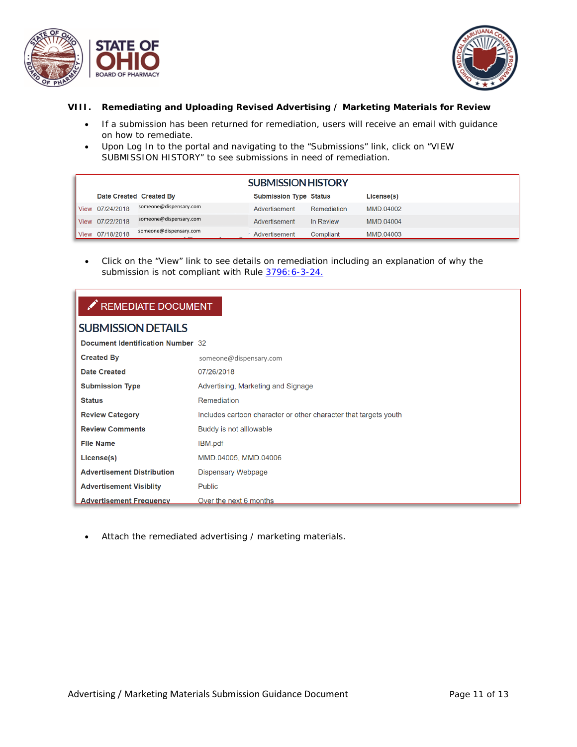



#### <span id="page-12-0"></span>**VIII. Remediating and Uploading Revised Advertising / Marketing Materials for Review**

- If a submission has been returned for remediation, users will receive an email with guidance on how to remediate.
- Upon Log In to the portal and navigating to the "Submissions" link, click on "VIEW SUBMISSION HISTORY" to see submissions in need of remediation.

| <b>SUBMISSION HISTORY</b> |                                  |                               |             |            |
|---------------------------|----------------------------------|-------------------------------|-------------|------------|
| Date Created Created By   |                                  | <b>Submission Type Status</b> |             | License(s) |
| View 07/24/2018           | someone@dispensary.com           | Advertisement                 | Remediation | MMD.04002  |
| View 07/22/2018           | someone@dispensary.com           | Advertisement                 | In Review   | MMD.04004  |
| View 07/18/2018           | someone@dispensary.com<br>$\sim$ | Advertisement                 | Compliant   | MMD.04003  |

• Click on the "View" link to see details on remediation including an explanation of why the submission is not compliant with Rule [3796:6-3-24.](http://codes.ohio.gov/oac/3796:6-3-24)

| <b>REMEDIATE DOCUMENT</b>                |                                                                  |  |  |
|------------------------------------------|------------------------------------------------------------------|--|--|
| <b>SUBMISSION DETAILS</b>                |                                                                  |  |  |
| <b>Document Identification Number 32</b> |                                                                  |  |  |
| <b>Created By</b>                        | someone@dispensary.com                                           |  |  |
| <b>Date Created</b>                      | 07/26/2018                                                       |  |  |
| <b>Submission Type</b>                   | Advertising, Marketing and Signage                               |  |  |
| <b>Status</b>                            | Remediation                                                      |  |  |
| <b>Review Category</b>                   | Includes cartoon character or other character that targets youth |  |  |
| <b>Review Comments</b>                   | Buddy is not alllowable                                          |  |  |
| <b>File Name</b>                         | IBM.pdf                                                          |  |  |
| License(s)                               | MMD.04005, MMD.04006                                             |  |  |
| <b>Advertisement Distribution</b>        | <b>Dispensary Webpage</b>                                        |  |  |
| <b>Advertisement Visiblity</b>           | <b>Public</b>                                                    |  |  |
| <b>Advertisement Frequency</b>           | Over the next 6 months                                           |  |  |

• Attach the remediated advertising / marketing materials.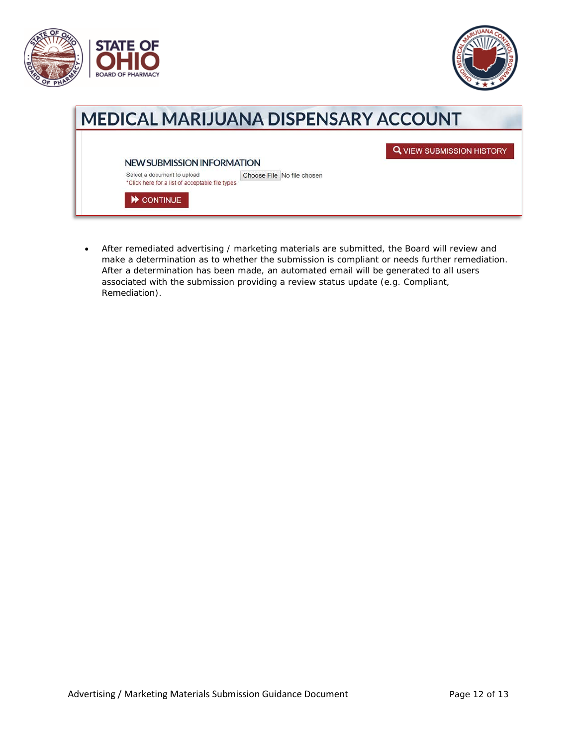





• After remediated advertising / marketing materials are submitted, the Board will review and make a determination as to whether the submission is compliant or needs further remediation. After a determination has been made, an automated email will be generated to all users associated with the submission providing a review status update (e.g. Compliant, Remediation).